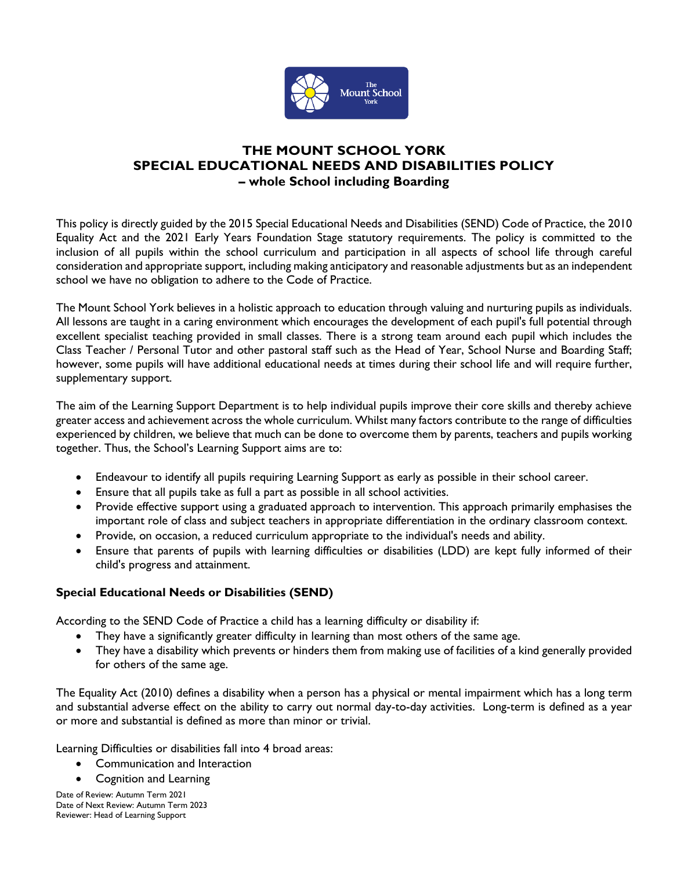

# **THE MOUNT SCHOOL YORK SPECIAL EDUCATIONAL NEEDS AND DISABILITIES POLICY – whole School including Boarding**

This policy is directly guided by the 2015 Special Educational Needs and Disabilities (SEND) Code of Practice, the 2010 Equality Act and the 2021 Early Years Foundation Stage statutory requirements. The policy is committed to the inclusion of all pupils within the school curriculum and participation in all aspects of school life through careful consideration and appropriate support, including making anticipatory and reasonable adjustments but as an independent school we have no obligation to adhere to the Code of Practice.

The Mount School York believes in a holistic approach to education through valuing and nurturing pupils as individuals. All lessons are taught in a caring environment which encourages the development of each pupil's full potential through excellent specialist teaching provided in small classes. There is a strong team around each pupil which includes the Class Teacher / Personal Tutor and other pastoral staff such as the Head of Year, School Nurse and Boarding Staff; however, some pupils will have additional educational needs at times during their school life and will require further, supplementary support.

The aim of the Learning Support Department is to help individual pupils improve their core skills and thereby achieve greater access and achievement across the whole curriculum. Whilst many factors contribute to the range of difficulties experienced by children, we believe that much can be done to overcome them by parents, teachers and pupils working together. Thus, the School's Learning Support aims are to:

- Endeavour to identify all pupils requiring Learning Support as early as possible in their school career.
- Ensure that all pupils take as full a part as possible in all school activities.
- Provide effective support using a graduated approach to intervention. This approach primarily emphasises the important role of class and subject teachers in appropriate differentiation in the ordinary classroom context.
- Provide, on occasion, a reduced curriculum appropriate to the individual's needs and ability.
- Ensure that parents of pupils with learning difficulties or disabilities (LDD) are kept fully informed of their child's progress and attainment.

# **Special Educational Needs or Disabilities (SEND)**

According to the SEND Code of Practice a child has a learning difficulty or disability if:

- They have a significantly greater difficulty in learning than most others of the same age.
- They have a disability which prevents or hinders them from making use of facilities of a kind generally provided for others of the same age.

The Equality Act (2010) defines a disability when a person has a physical or mental impairment which has a long term and substantial adverse effect on the ability to carry out normal day-to-day activities. Long-term is defined as a year or more and substantial is defined as more than minor or trivial.

Learning Difficulties or disabilities fall into 4 broad areas:

- Communication and Interaction
- Cognition and Learning

Date of Review: Autumn Term 2021 Date of Next Review: Autumn Term 2023 Reviewer: Head of Learning Support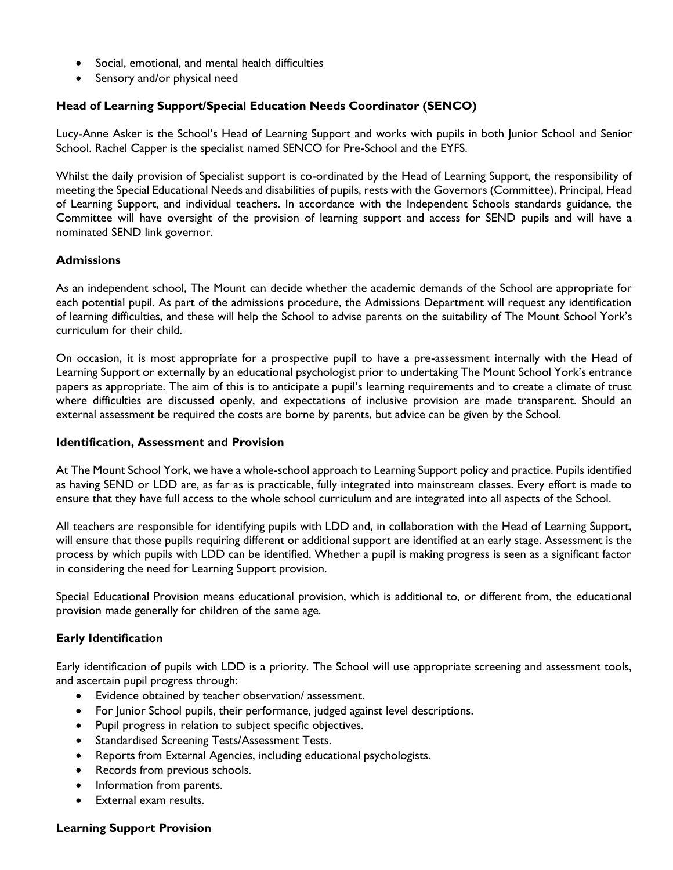- Social, emotional, and mental health difficulties
- Sensory and/or physical need

## **Head of Learning Support/Special Education Needs Coordinator (SENCO)**

Lucy-Anne Asker is the School's Head of Learning Support and works with pupils in both Junior School and Senior School. Rachel Capper is the specialist named SENCO for Pre-School and the EYFS.

Whilst the daily provision of Specialist support is co-ordinated by the Head of Learning Support, the responsibility of meeting the Special Educational Needs and disabilities of pupils, rests with the Governors (Committee), Principal, Head of Learning Support, and individual teachers. In accordance with the Independent Schools standards guidance, the Committee will have oversight of the provision of learning support and access for SEND pupils and will have a nominated SEND link governor.

### **Admissions**

As an independent school, The Mount can decide whether the academic demands of the School are appropriate for each potential pupil. As part of the admissions procedure, the Admissions Department will request any identification of learning difficulties, and these will help the School to advise parents on the suitability of The Mount School York's curriculum for their child.

On occasion, it is most appropriate for a prospective pupil to have a pre-assessment internally with the Head of Learning Support or externally by an educational psychologist prior to undertaking The Mount School York's entrance papers as appropriate. The aim of this is to anticipate a pupil's learning requirements and to create a climate of trust where difficulties are discussed openly, and expectations of inclusive provision are made transparent. Should an external assessment be required the costs are borne by parents, but advice can be given by the School.

#### **Identification, Assessment and Provision**

At The Mount School York, we have a whole-school approach to Learning Support policy and practice. Pupils identified as having SEND or LDD are, as far as is practicable, fully integrated into mainstream classes. Every effort is made to ensure that they have full access to the whole school curriculum and are integrated into all aspects of the School.

All teachers are responsible for identifying pupils with LDD and, in collaboration with the Head of Learning Support, will ensure that those pupils requiring different or additional support are identified at an early stage. Assessment is the process by which pupils with LDD can be identified. Whether a pupil is making progress is seen as a significant factor in considering the need for Learning Support provision.

Special Educational Provision means educational provision, which is additional to, or different from, the educational provision made generally for children of the same age.

### **Early Identification**

Early identification of pupils with LDD is a priority. The School will use appropriate screening and assessment tools, and ascertain pupil progress through:

- Evidence obtained by teacher observation/assessment.
- For Junior School pupils, their performance, judged against level descriptions.
- Pupil progress in relation to subject specific objectives.
- Standardised Screening Tests/Assessment Tests.
- Reports from External Agencies, including educational psychologists.
- Records from previous schools.
- Information from parents.
- External exam results.

### **Learning Support Provision**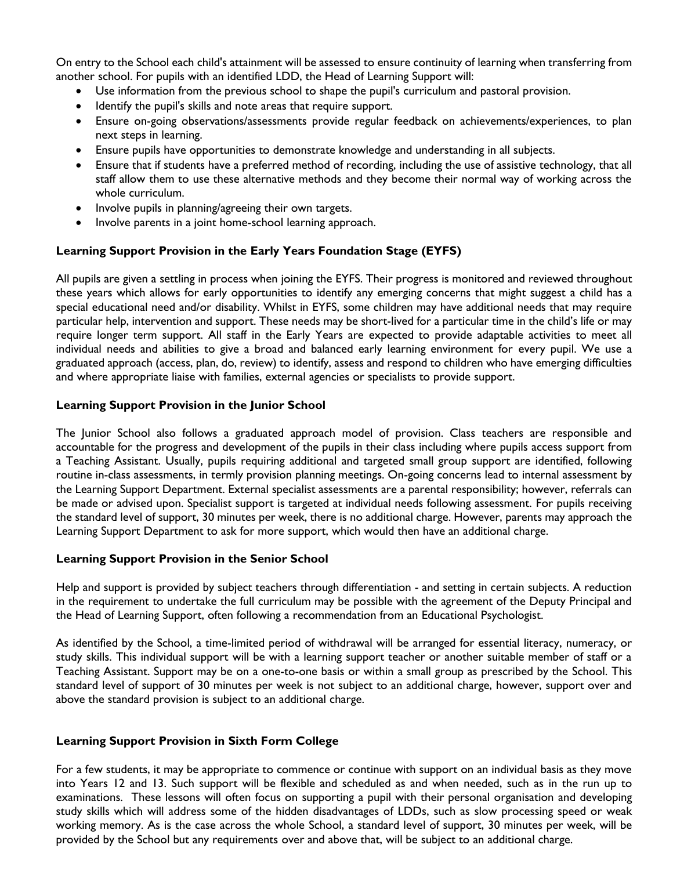On entry to the School each child's attainment will be assessed to ensure continuity of learning when transferring from another school. For pupils with an identified LDD, the Head of Learning Support will:

- Use information from the previous school to shape the pupil's curriculum and pastoral provision.
- Identify the pupil's skills and note areas that require support.
- Ensure on-going observations/assessments provide regular feedback on achievements/experiences, to plan next steps in learning.
- Ensure pupils have opportunities to demonstrate knowledge and understanding in all subjects.
- Ensure that if students have a preferred method of recording, including the use of assistive technology, that all staff allow them to use these alternative methods and they become their normal way of working across the whole curriculum.
- Involve pupils in planning/agreeing their own targets.
- Involve parents in a joint home-school learning approach.

# **Learning Support Provision in the Early Years Foundation Stage (EYFS)**

All pupils are given a settling in process when joining the EYFS. Their progress is monitored and reviewed throughout these years which allows for early opportunities to identify any emerging concerns that might suggest a child has a special educational need and/or disability. Whilst in EYFS, some children may have additional needs that may require particular help, intervention and support. These needs may be short-lived for a particular time in the child's life or may require longer term support. All staff in the Early Years are expected to provide adaptable activities to meet all individual needs and abilities to give a broad and balanced early learning environment for every pupil. We use a graduated approach (access, plan, do, review) to identify, assess and respond to children who have emerging difficulties and where appropriate liaise with families, external agencies or specialists to provide support.

### **Learning Support Provision in the Junior School**

The Junior School also follows a graduated approach model of provision. Class teachers are responsible and accountable for the progress and development of the pupils in their class including where pupils access support from a Teaching Assistant. Usually, pupils requiring additional and targeted small group support are identified, following routine in-class assessments, in termly provision planning meetings. On-going concerns lead to internal assessment by the Learning Support Department. External specialist assessments are a parental responsibility; however, referrals can be made or advised upon. Specialist support is targeted at individual needs following assessment. For pupils receiving the standard level of support, 30 minutes per week, there is no additional charge. However, parents may approach the Learning Support Department to ask for more support, which would then have an additional charge.

### **Learning Support Provision in the Senior School**

Help and support is provided by subject teachers through differentiation - and setting in certain subjects. A reduction in the requirement to undertake the full curriculum may be possible with the agreement of the Deputy Principal and the Head of Learning Support, often following a recommendation from an Educational Psychologist.

As identified by the School, a time-limited period of withdrawal will be arranged for essential literacy, numeracy, or study skills. This individual support will be with a learning support teacher or another suitable member of staff or a Teaching Assistant. Support may be on a one-to-one basis or within a small group as prescribed by the School. This standard level of support of 30 minutes per week is not subject to an additional charge, however, support over and above the standard provision is subject to an additional charge.

### **Learning Support Provision in Sixth Form College**

For a few students, it may be appropriate to commence or continue with support on an individual basis as they move into Years 12 and 13. Such support will be flexible and scheduled as and when needed, such as in the run up to examinations. These lessons will often focus on supporting a pupil with their personal organisation and developing study skills which will address some of the hidden disadvantages of LDDs, such as slow processing speed or weak working memory. As is the case across the whole School, a standard level of support, 30 minutes per week, will be provided by the School but any requirements over and above that, will be subject to an additional charge.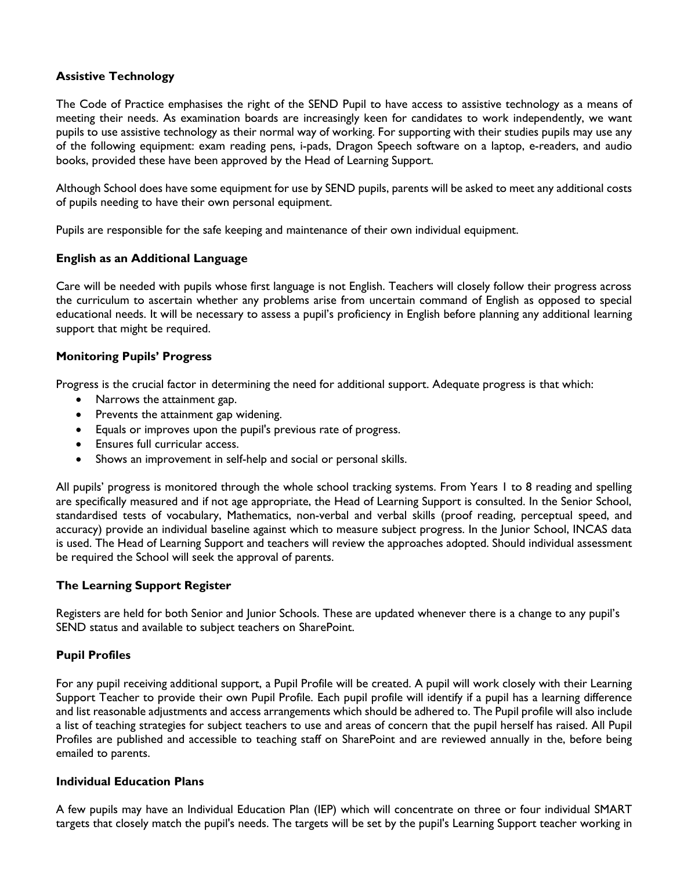# **Assistive Technology**

The Code of Practice emphasises the right of the SEND Pupil to have access to assistive technology as a means of meeting their needs. As examination boards are increasingly keen for candidates to work independently, we want pupils to use assistive technology as their normal way of working. For supporting with their studies pupils may use any of the following equipment: exam reading pens, i-pads, Dragon Speech software on a laptop, e-readers, and audio books, provided these have been approved by the Head of Learning Support.

Although School does have some equipment for use by SEND pupils, parents will be asked to meet any additional costs of pupils needing to have their own personal equipment.

Pupils are responsible for the safe keeping and maintenance of their own individual equipment.

### **English as an Additional Language**

Care will be needed with pupils whose first language is not English. Teachers will closely follow their progress across the curriculum to ascertain whether any problems arise from uncertain command of English as opposed to special educational needs. It will be necessary to assess a pupil's proficiency in English before planning any additional learning support that might be required.

# **Monitoring Pupils' Progress**

Progress is the crucial factor in determining the need for additional support. Adequate progress is that which:

- Narrows the attainment gap.
- Prevents the attainment gap widening.
- Equals or improves upon the pupil's previous rate of progress.
- Ensures full curricular access.
- Shows an improvement in self-help and social or personal skills.

All pupils' progress is monitored through the whole school tracking systems. From Years 1 to 8 reading and spelling are specifically measured and if not age appropriate, the Head of Learning Support is consulted. In the Senior School, standardised tests of vocabulary, Mathematics, non-verbal and verbal skills (proof reading, perceptual speed, and accuracy) provide an individual baseline against which to measure subject progress. In the Junior School, INCAS data is used. The Head of Learning Support and teachers will review the approaches adopted. Should individual assessment be required the School will seek the approval of parents.

### **The Learning Support Register**

Registers are held for both Senior and Junior Schools. These are updated whenever there is a change to any pupil's SEND status and available to subject teachers on SharePoint.

# **Pupil Profiles**

For any pupil receiving additional support, a Pupil Profile will be created. A pupil will work closely with their Learning Support Teacher to provide their own Pupil Profile. Each pupil profile will identify if a pupil has a learning difference and list reasonable adjustments and access arrangements which should be adhered to. The Pupil profile will also include a list of teaching strategies for subject teachers to use and areas of concern that the pupil herself has raised. All Pupil Profiles are published and accessible to teaching staff on SharePoint and are reviewed annually in the, before being emailed to parents.

### **Individual Education Plans**

A few pupils may have an Individual Education Plan (IEP) which will concentrate on three or four individual SMART targets that closely match the pupil's needs. The targets will be set by the pupil's Learning Support teacher working in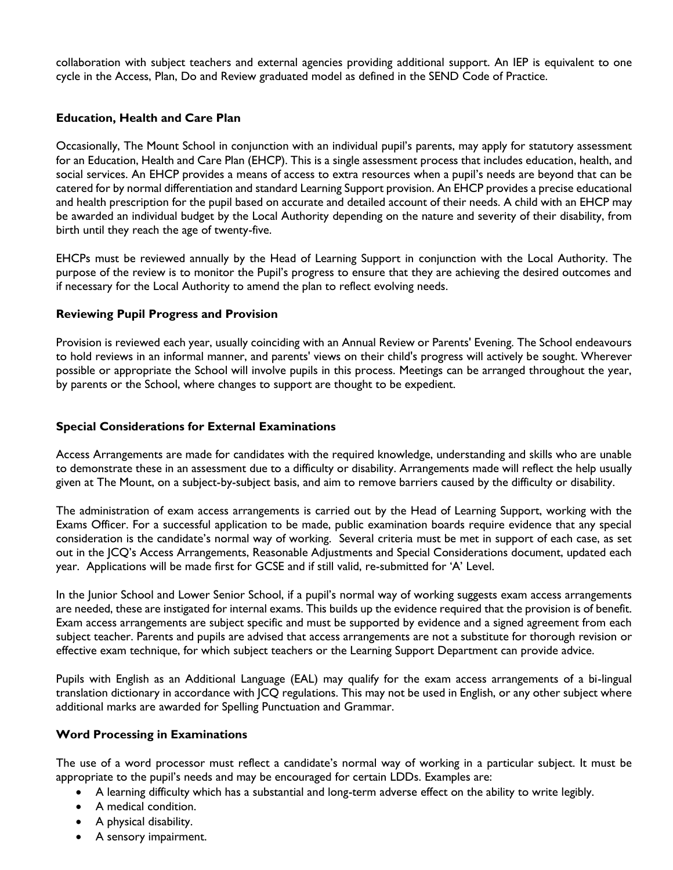collaboration with subject teachers and external agencies providing additional support. An IEP is equivalent to one cycle in the Access, Plan, Do and Review graduated model as defined in the SEND Code of Practice.

### **Education, Health and Care Plan**

Occasionally, The Mount School in conjunction with an individual pupil's parents, may apply for statutory assessment for an Education, Health and Care Plan (EHCP). This is a single assessment process that includes education, health, and social services. An EHCP provides a means of access to extra resources when a pupil's needs are beyond that can be catered for by normal differentiation and standard Learning Support provision. An EHCP provides a precise educational and health prescription for the pupil based on accurate and detailed account of their needs. A child with an EHCP may be awarded an individual budget by the Local Authority depending on the nature and severity of their disability, from birth until they reach the age of twenty-five.

EHCPs must be reviewed annually by the Head of Learning Support in conjunction with the Local Authority. The purpose of the review is to monitor the Pupil's progress to ensure that they are achieving the desired outcomes and if necessary for the Local Authority to amend the plan to reflect evolving needs.

### **Reviewing Pupil Progress and Provision**

Provision is reviewed each year, usually coinciding with an Annual Review or Parents' Evening. The School endeavours to hold reviews in an informal manner, and parents' views on their child's progress will actively be sought. Wherever possible or appropriate the School will involve pupils in this process. Meetings can be arranged throughout the year, by parents or the School, where changes to support are thought to be expedient.

#### **Special Considerations for External Examinations**

Access Arrangements are made for candidates with the required knowledge, understanding and skills who are unable to demonstrate these in an assessment due to a difficulty or disability. Arrangements made will reflect the help usually given at The Mount, on a subject-by-subject basis, and aim to remove barriers caused by the difficulty or disability.

The administration of exam access arrangements is carried out by the Head of Learning Support, working with the Exams Officer. For a successful application to be made, public examination boards require evidence that any special consideration is the candidate's normal way of working. Several criteria must be met in support of each case, as set out in the JCQ's Access Arrangements, Reasonable Adjustments and Special Considerations document, updated each year. Applications will be made first for GCSE and if still valid, re-submitted for 'A' Level.

In the Junior School and Lower Senior School, if a pupil's normal way of working suggests exam access arrangements are needed, these are instigated for internal exams. This builds up the evidence required that the provision is of benefit. Exam access arrangements are subject specific and must be supported by evidence and a signed agreement from each subject teacher. Parents and pupils are advised that access arrangements are not a substitute for thorough revision or effective exam technique, for which subject teachers or the Learning Support Department can provide advice.

Pupils with English as an Additional Language (EAL) may qualify for the exam access arrangements of a bi-lingual translation dictionary in accordance with JCQ regulations. This may not be used in English, or any other subject where additional marks are awarded for Spelling Punctuation and Grammar.

### **Word Processing in Examinations**

The use of a word processor must reflect a candidate's normal way of working in a particular subject. It must be appropriate to the pupil's needs and may be encouraged for certain LDDs. Examples are:

- A learning difficulty which has a substantial and long-term adverse effect on the ability to write legibly.
- A medical condition.
- A physical disability.
- A sensory impairment.